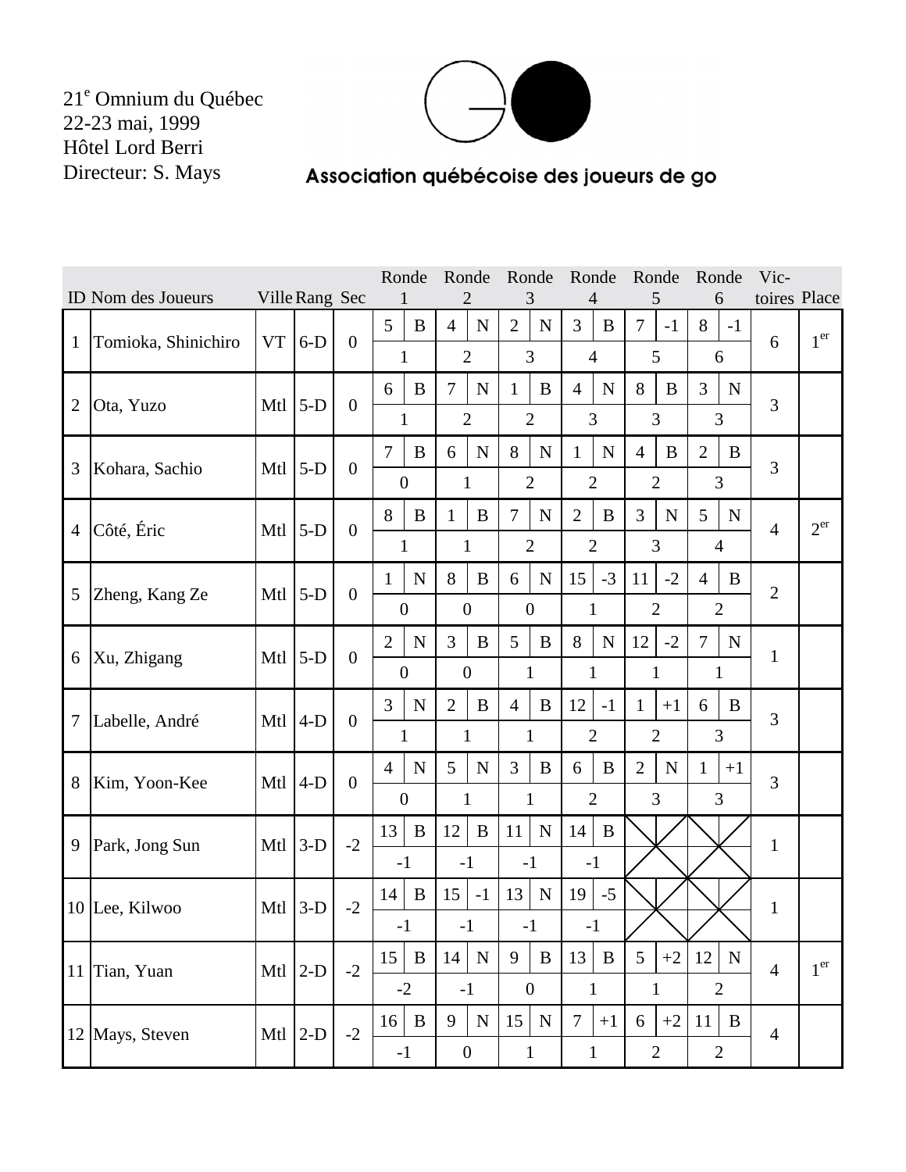

## Association québécoise des joueurs de go

|                |                                      |           |       |                  | Ronde          |                                                                         | Ronde            |             | Ronde            |              | Ronde          |              | Ronde                         |                | Ronde          |                | Vic-           |                 |
|----------------|--------------------------------------|-----------|-------|------------------|----------------|-------------------------------------------------------------------------|------------------|-------------|------------------|--------------|----------------|--------------|-------------------------------|----------------|----------------|----------------|----------------|-----------------|
|                | ID Nom des Joueurs<br>Ville Rang Sec |           |       |                  |                |                                                                         |                  | 3           |                  | 4            |                | 5            |                               | 6              | toires Place   |                |                |                 |
| $\mathbf{1}$   | Tomioka, Shinichiro                  | <b>VT</b> | $6-D$ | $\boldsymbol{0}$ | 5              | B                                                                       | $\overline{4}$   | N           | $\overline{2}$   | $\mathbf N$  | 3              | B            | $\overline{7}$                | $-1$           | $8\,$          | $-1$           | 6              | 1 <sup>er</sup> |
|                |                                      |           |       |                  | $\mathbf{1}$   |                                                                         | $\overline{2}$   |             | 3                |              | $\overline{4}$ |              | 5                             |                | 6              |                |                |                 |
| $\overline{2}$ | Ota, Yuzo                            | Mtl       | $5-D$ | $\boldsymbol{0}$ | 6              | $\bf{B}$                                                                | 7                | $\mathbf N$ | $\mathbf{1}$     | B            | $\overline{4}$ | N            | 8                             | B              | 3              | $\mathbf N$    | 3              |                 |
|                |                                      |           |       |                  | 1              |                                                                         | $\overline{2}$   |             | $\overline{2}$   |              | 3              |              | 3                             |                | 3              |                |                |                 |
| 3              | Kohara, Sachio                       | Mtl       | $5-D$ | $\overline{0}$   | $\overline{7}$ | $\bf{B}$                                                                | 6                | $\mathbf N$ | 8                | $\mathbf N$  | $\mathbf{1}$   | N            | $\overline{4}$                | B              | $\overline{2}$ | B              | 3              |                 |
|                |                                      |           |       |                  |                | $\boldsymbol{0}$                                                        | $\mathbf{1}$     |             | $\overline{2}$   |              | $\overline{2}$ |              | $\overline{2}$                |                |                | 3              |                |                 |
| $\overline{4}$ | Côté, Éric                           | Mtl       | $5-D$ | $\overline{0}$   | 8              | $\bf{B}$                                                                | $\mathbf{1}$     | $\bf{B}$    | $\overline{7}$   | $\mathbf N$  | $\overline{2}$ | $\bf{B}$     | 3                             | $\mathbf N$    | 5              | ${\bf N}$      | $\overline{4}$ | 2 <sup>er</sup> |
|                |                                      |           |       |                  |                | 1                                                                       | $\mathbf{1}$     |             | $\overline{2}$   |              | $\overline{2}$ |              |                               | 3              |                | $\overline{4}$ |                |                 |
|                | Zheng, Kang Ze                       | Mtl       |       | $\boldsymbol{0}$ | $\mathbf{1}$   | $\mathbf N$                                                             | 8                | $\bf{B}$    | 6                | $\mathbf N$  | 15             | $-3$         | 11                            | $-2$           | $\overline{4}$ | B              | $\overline{2}$ |                 |
| 5              |                                      |           | $5-D$ |                  |                | $\boldsymbol{0}$                                                        | $\boldsymbol{0}$ |             | $\boldsymbol{0}$ |              |                | $\mathbf{1}$ | $\overline{2}$                |                |                | $\overline{2}$ |                |                 |
|                | Xu, Zhigang                          | Mtl       | $5-D$ | $\overline{0}$   | $\overline{2}$ | ${\bf N}$                                                               | 3                | $\bf{B}$    | 5                | $\bf{B}$     | 8              | $\mathbf N$  | 12                            | $-2$           | $\overline{7}$ | ${\bf N}$      | $\mathbf{1}$   |                 |
| 6              |                                      |           |       |                  |                | $\boldsymbol{0}$                                                        | $\boldsymbol{0}$ |             | 1                |              | $\mathbf{1}$   |              |                               | $\mathbf{1}$   |                | 1              |                |                 |
| 7              | Labelle, André                       | Mtl       | $4-D$ | $\boldsymbol{0}$ | 3              | $\mathbf N$                                                             | $\overline{2}$   | $\bf{B}$    | $\overline{4}$   | $\bf{B}$     | 12             | $-1$         | $\mathbf{1}$                  | $+1$           | 6              | $\bf{B}$       | 3              |                 |
|                |                                      |           |       |                  | 1              |                                                                         | $\mathbf{1}$     |             | 1                |              | $\overline{2}$ |              | $\overline{2}$                |                |                | 3              |                |                 |
| 8              | Kim, Yoon-Kee                        | Mtl       | $4-D$ | $\boldsymbol{0}$ | $\overline{4}$ | ${\bf N}$                                                               | 5                | $\mathbf N$ | 3                | B            | $\bf{B}$<br>6  |              | $\overline{2}$<br>$\mathbf N$ |                | $\mathbf{1}$   | $+1$           | 3              |                 |
|                |                                      |           |       |                  |                | 3<br>$\overline{2}$<br>$\boldsymbol{0}$<br>$\mathbf{1}$<br>$\mathbf{1}$ |                  |             | 3                |              |                |              |                               |                |                |                |                |                 |
| 9              | Park, Jong Sun                       | Mtl       | $3-D$ | $-2$             | 13             | $\bf{B}$                                                                | 12               | B           | 11               | $\mathbf N$  | 14             | B            |                               |                |                |                | $\mathbf{1}$   |                 |
|                |                                      |           |       |                  | $-1$           |                                                                         | $-1$             |             | $-1$             |              | $-1$           |              |                               |                |                |                |                |                 |
|                | 10 Lee, Kilwoo                       | Mtl       | $3-D$ | $-2$             | 14             | $\bf{B}$                                                                | 15               | $-1$        | 13               | $\mathbf N$  | 19             | $-5$         |                               |                |                |                | $\mathbf{1}$   |                 |
|                |                                      |           |       |                  | $-1$           |                                                                         | $-1$             |             | $-1$             |              | $-1$           |              |                               |                |                |                |                |                 |
|                | 11 Tian, Yuan                        | Mtl       | $2-D$ | $-2$             | 15             | $\, {\bf B}$                                                            | 14               | $\mathbf N$ | 9                | $\mathbf B$  | 13             | $\, {\bf B}$ | 5                             | $+2$           | 12             | $\mathbf N$    | $\overline{4}$ | 1 <sup>er</sup> |
|                |                                      |           |       |                  |                | $-2$                                                                    | $-1$             |             | $\mathbf{0}$     |              | $\mathbf{1}$   |              |                               | $\mathbf{1}$   |                | $\overline{2}$ |                |                 |
|                | 12 Mays, Steven                      | Mtl       | $2-D$ | $-2$             | 16             | $\, {\bf B}$                                                            | 9                | ${\bf N}$   | 15               | $\mathbf N$  | $\overline{7}$ | $+1$         | 6                             | $+2$           | 11             | $\mathbf{B}$   | $\overline{4}$ |                 |
|                |                                      |           |       |                  |                | $-1$                                                                    | $\boldsymbol{0}$ |             |                  | $\mathbf{1}$ |                | $\mathbf{1}$ |                               | $\overline{2}$ |                | $\overline{2}$ |                |                 |